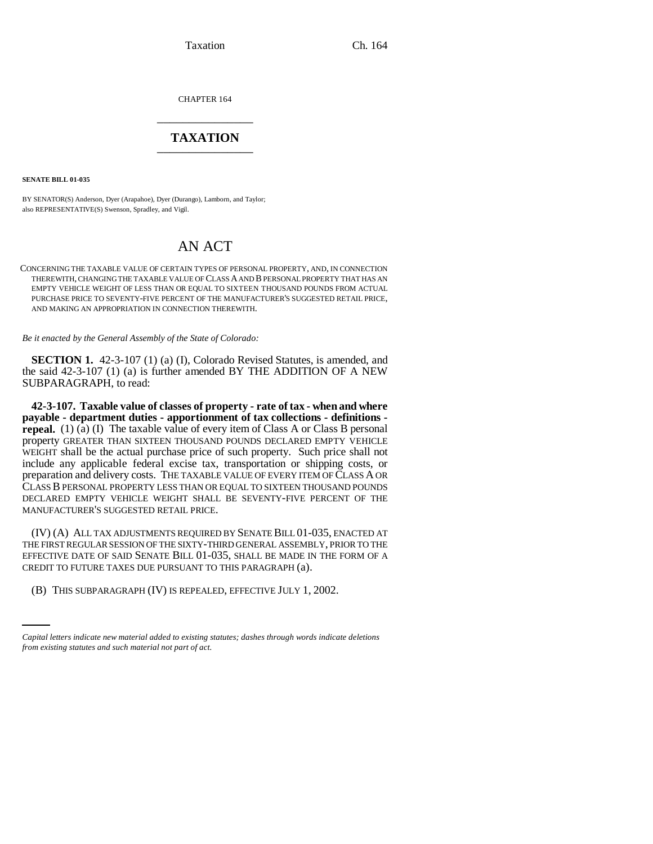Taxation Ch. 164

CHAPTER 164 \_\_\_\_\_\_\_\_\_\_\_\_\_\_\_

## **TAXATION** \_\_\_\_\_\_\_\_\_\_\_\_\_\_\_

**SENATE BILL 01-035**

BY SENATOR(S) Anderson, Dyer (Arapahoe), Dyer (Durango), Lamborn, and Taylor; also REPRESENTATIVE(S) Swenson, Spradley, and Vigil.

## AN ACT

CONCERNING THE TAXABLE VALUE OF CERTAIN TYPES OF PERSONAL PROPERTY, AND, IN CONNECTION THEREWITH, CHANGING THE TAXABLE VALUE OF CLASS A AND B PERSONAL PROPERTY THAT HAS AN EMPTY VEHICLE WEIGHT OF LESS THAN OR EQUAL TO SIXTEEN THOUSAND POUNDS FROM ACTUAL PURCHASE PRICE TO SEVENTY-FIVE PERCENT OF THE MANUFACTURER'S SUGGESTED RETAIL PRICE, AND MAKING AN APPROPRIATION IN CONNECTION THEREWITH.

*Be it enacted by the General Assembly of the State of Colorado:*

**SECTION 1.** 42-3-107 (1) (a) (I), Colorado Revised Statutes, is amended, and the said 42-3-107 (1) (a) is further amended BY THE ADDITION OF A NEW SUBPARAGRAPH, to read:

**42-3-107. Taxable value of classes of property - rate of tax - when and where payable - department duties - apportionment of tax collections - definitions repeal.** (1) (a) (I) The taxable value of every item of Class A or Class B personal property GREATER THAN SIXTEEN THOUSAND POUNDS DECLARED EMPTY VEHICLE WEIGHT shall be the actual purchase price of such property. Such price shall not include any applicable federal excise tax, transportation or shipping costs, or preparation and delivery costs. THE TAXABLE VALUE OF EVERY ITEM OF CLASS A OR CLASS B PERSONAL PROPERTY LESS THAN OR EQUAL TO SIXTEEN THOUSAND POUNDS DECLARED EMPTY VEHICLE WEIGHT SHALL BE SEVENTY-FIVE PERCENT OF THE MANUFACTURER'S SUGGESTED RETAIL PRICE.

CREDIT TO FUTURE TAXES DUE PURSUANT TO THIS PARAGRAPH (a). (IV) (A) ALL TAX ADJUSTMENTS REQUIRED BY SENATE BILL 01-035, ENACTED AT THE FIRST REGULAR SESSION OF THE SIXTY-THIRD GENERAL ASSEMBLY, PRIOR TO THE EFFECTIVE DATE OF SAID SENATE BILL 01-035, SHALL BE MADE IN THE FORM OF A

(B) THIS SUBPARAGRAPH (IV) IS REPEALED, EFFECTIVE JULY 1, 2002.

*Capital letters indicate new material added to existing statutes; dashes through words indicate deletions from existing statutes and such material not part of act.*